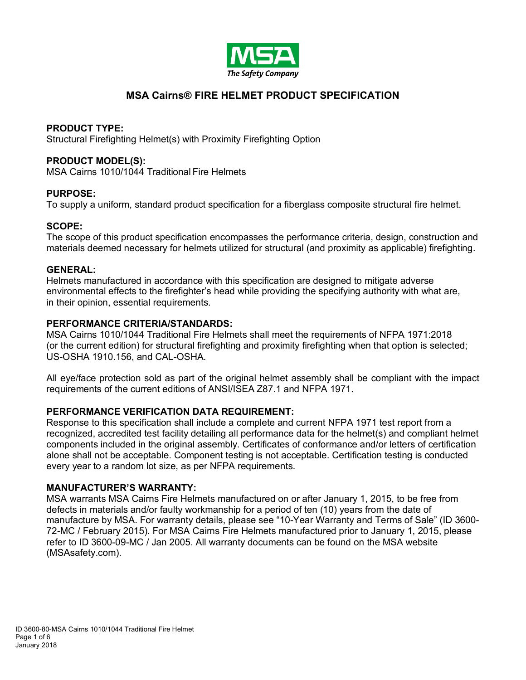

# **MSA Cairns® FIRE HELMET PRODUCT SPECIFICATION**

# **PRODUCT TYPE:**

Structural Firefighting Helmet(s) with Proximity Firefighting Option

# **PRODUCT MODEL(S):**

MSA Cairns 1010/1044 Traditional Fire Helmets

# **PURPOSE:**

To supply a uniform, standard product specification for a fiberglass composite structural fire helmet.

# **SCOPE:**

The scope of this product specification encompasses the performance criteria, design, construction and materials deemed necessary for helmets utilized for structural (and proximity as applicable) firefighting.

# **GENERAL:**

Helmets manufactured in accordance with this specification are designed to mitigate adverse environmental effects to the firefighter's head while providing the specifying authority with what are, in their opinion, essential requirements.

# **PERFORMANCE CRITERIA/STANDARDS:**

MSA Cairns 1010/1044 Traditional Fire Helmets shall meet the requirements of NFPA 1971:2018 (or the current edition) for structural firefighting and proximity firefighting when that option is selected; US-OSHA 1910.156, and CAL-OSHA.

All eye/face protection sold as part of the original helmet assembly shall be compliant with the impact requirements of the current editions of ANSI/ISEA Z87.1 and NFPA 1971.

# **PERFORMANCE VERIFICATION DATA REQUIREMENT:**

Response to this specification shall include a complete and current NFPA 1971 test report from a recognized, accredited test facility detailing all performance data for the helmet(s) and compliant helmet components included in the original assembly. Certificates of conformance and/or letters of certification alone shall not be acceptable. Component testing is not acceptable. Certification testing is conducted every year to a random lot size, as per NFPA requirements.

#### **MANUFACTURER'S WARRANTY:**

MSA warrants MSA Cairns Fire Helmets manufactured on or after January 1, 2015, to be free from defects in materials and/or faulty workmanship for a period of ten (10) years from the date of manufacture by MSA. For warranty details, please see "10-Year Warranty and Terms of Sale" (ID 3600- 72-MC / February 2015). For MSA Cairns Fire Helmets manufactured prior to January 1, 2015, please refer to ID 3600-09-MC / Jan 2005. All warranty documents can be found on the MSA website (MSAsafety.com).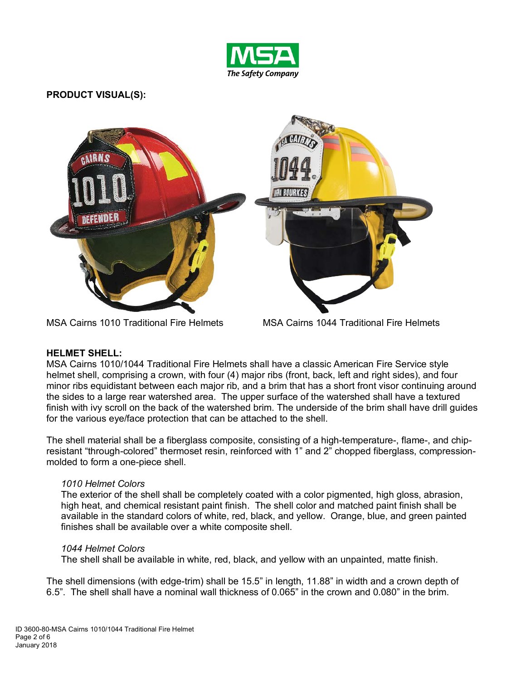

# **PRODUCT VISUAL(S):**



MSA Cairns 1010 Traditional Fire Helmets MSA Cairns 1044 Traditional Fire Helmets

#### **HELMET SHELL:**

MSA Cairns 1010/1044 Traditional Fire Helmets shall have a classic American Fire Service style helmet shell, comprising a crown, with four (4) major ribs (front, back, left and right sides), and four minor ribs equidistant between each major rib, and a brim that has a short front visor continuing around the sides to a large rear watershed area. The upper surface of the watershed shall have a textured finish with ivy scroll on the back of the watershed brim. The underside of the brim shall have drill guides for the various eye/face protection that can be attached to the shell.

The shell material shall be a fiberglass composite, consisting of a high-temperature-, flame-, and chipresistant "through-colored" thermoset resin, reinforced with 1" and 2" chopped fiberglass, compressionmolded to form a one-piece shell.

# *1010 Helmet Colors*

The exterior of the shell shall be completely coated with a color pigmented, high gloss, abrasion, high heat, and chemical resistant paint finish. The shell color and matched paint finish shall be available in the standard colors of white, red, black, and yellow. Orange, blue, and green painted finishes shall be available over a white composite shell.

#### *1044 Helmet Colors*

The shell shall be available in white, red, black, and yellow with an unpainted, matte finish.

The shell dimensions (with edge-trim) shall be 15.5" in length, 11.88" in width and a crown depth of 6.5". The shell shall have a nominal wall thickness of 0.065" in the crown and 0.080" in the brim.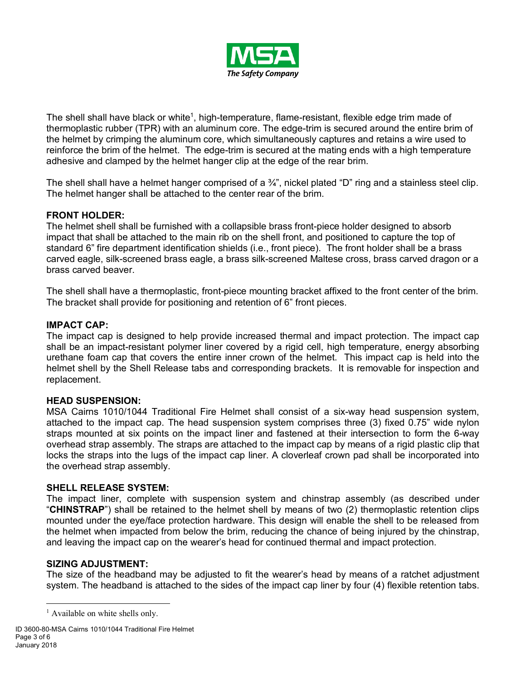

The shell shall have black or white<sup>1</sup>, high-temperature, flame-resistant, flexible edge trim made of thermoplastic rubber (TPR) with an aluminum core. The edge-trim is secured around the entire brim of the helmet by crimping the aluminum core, which simultaneously captures and retains a wire used to reinforce the brim of the helmet. The edge-trim is secured at the mating ends with a high temperature adhesive and clamped by the helmet hanger clip at the edge of the rear brim.

The shell shall have a helmet hanger comprised of a  $\frac{3}{4}$ , nickel plated "D" ring and a stainless steel clip. The helmet hanger shall be attached to the center rear of the brim.

# **FRONT HOLDER:**

The helmet shell shall be furnished with a collapsible brass front-piece holder designed to absorb impact that shall be attached to the main rib on the shell front, and positioned to capture the top of standard 6" fire department identification shields (i.e., front piece). The front holder shall be a brass carved eagle, silk-screened brass eagle, a brass silk-screened Maltese cross, brass carved dragon or a brass carved beaver.

The shell shall have a thermoplastic, front-piece mounting bracket affixed to the front center of the brim. The bracket shall provide for positioning and retention of 6" front pieces.

#### **IMPACT CAP:**

The impact cap is designed to help provide increased thermal and impact protection. The impact cap shall be an impact-resistant polymer liner covered by a rigid cell, high temperature, energy absorbing urethane foam cap that covers the entire inner crown of the helmet. This impact cap is held into the helmet shell by the Shell Release tabs and corresponding brackets. It is removable for inspection and replacement.

#### **HEAD SUSPENSION:**

MSA Cairns 1010/1044 Traditional Fire Helmet shall consist of a six-way head suspension system, attached to the impact cap. The head suspension system comprises three (3) fixed 0.75" wide nylon straps mounted at six points on the impact liner and fastened at their intersection to form the 6-way overhead strap assembly. The straps are attached to the impact cap by means of a rigid plastic clip that locks the straps into the lugs of the impact cap liner. A cloverleaf crown pad shall be incorporated into the overhead strap assembly.

#### **SHELL RELEASE SYSTEM:**

The impact liner, complete with suspension system and chinstrap assembly (as described under "**CHINSTRAP**") shall be retained to the helmet shell by means of two (2) thermoplastic retention clips mounted under the eye/face protection hardware. This design will enable the shell to be released from the helmet when impacted from below the brim, reducing the chance of being injured by the chinstrap, and leaving the impact cap on the wearer's head for continued thermal and impact protection.

#### **SIZING ADJUSTMENT:**

The size of the headband may be adjusted to fit the wearer's head by means of a ratchet adjustment system. The headband is attached to the sides of the impact cap liner by four (4) flexible retention tabs.

<sup>&</sup>lt;sup>1</sup> Available on white shells only.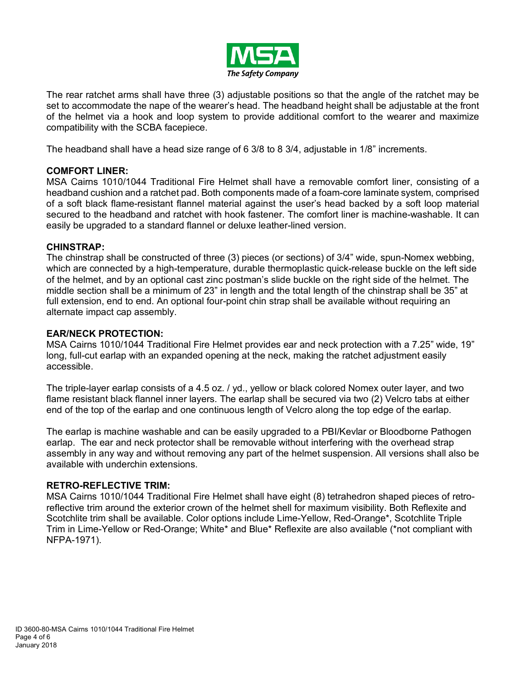

The rear ratchet arms shall have three (3) adjustable positions so that the angle of the ratchet may be set to accommodate the nape of the wearer's head. The headband height shall be adjustable at the front of the helmet via a hook and loop system to provide additional comfort to the wearer and maximize compatibility with the SCBA facepiece.

The headband shall have a head size range of 6 3/8 to 8 3/4, adjustable in 1/8" increments.

# **COMFORT LINER:**

MSA Cairns 1010/1044 Traditional Fire Helmet shall have a removable comfort liner, consisting of a headband cushion and a ratchet pad. Both components made of a foam-core laminate system, comprised of a soft black flame-resistant flannel material against the user's head backed by a soft loop material secured to the headband and ratchet with hook fastener. The comfort liner is machine-washable. It can easily be upgraded to a standard flannel or deluxe leather-lined version.

#### **CHINSTRAP:**

The chinstrap shall be constructed of three (3) pieces (or sections) of 3/4" wide, spun-Nomex webbing, which are connected by a high-temperature, durable thermoplastic quick-release buckle on the left side of the helmet, and by an optional cast zinc postman's slide buckle on the right side of the helmet. The middle section shall be a minimum of 23" in length and the total length of the chinstrap shall be 35" at full extension, end to end. An optional four-point chin strap shall be available without requiring an alternate impact cap assembly.

# **EAR/NECK PROTECTION:**

MSA Cairns 1010/1044 Traditional Fire Helmet provides ear and neck protection with a 7.25" wide, 19" long, full-cut earlap with an expanded opening at the neck, making the ratchet adjustment easily accessible.

The triple-layer earlap consists of a 4.5 oz. / yd., yellow or black colored Nomex outer layer, and two flame resistant black flannel inner layers. The earlap shall be secured via two (2) Velcro tabs at either end of the top of the earlap and one continuous length of Velcro along the top edge of the earlap.

The earlap is machine washable and can be easily upgraded to a PBI/Kevlar or Bloodborne Pathogen earlap. The ear and neck protector shall be removable without interfering with the overhead strap assembly in any way and without removing any part of the helmet suspension. All versions shall also be available with underchin extensions.

# **RETRO-REFLECTIVE TRIM:**

MSA Cairns 1010/1044 Traditional Fire Helmet shall have eight (8) tetrahedron shaped pieces of retroreflective trim around the exterior crown of the helmet shell for maximum visibility. Both Reflexite and Scotchlite trim shall be available. Color options include Lime-Yellow, Red-Orange\*, Scotchlite Triple Trim in Lime-Yellow or Red-Orange; White\* and Blue\* Reflexite are also available (\*not compliant with NFPA-1971).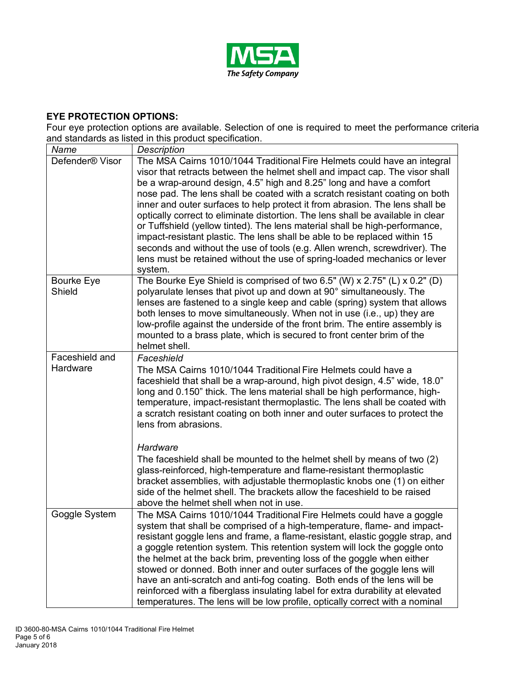

# **EYE PROTECTION OPTIONS:**

Four eye protection options are available. Selection of one is required to meet the performance criteria and standards as listed in this product specification.

| Name                        | and blandardo do notod in this product opochication.<br>Description                                                                                                                                                                                                                                                                                                                                                                                                                                                                                                                                                                                                                                                                                                                                                  |
|-----------------------------|----------------------------------------------------------------------------------------------------------------------------------------------------------------------------------------------------------------------------------------------------------------------------------------------------------------------------------------------------------------------------------------------------------------------------------------------------------------------------------------------------------------------------------------------------------------------------------------------------------------------------------------------------------------------------------------------------------------------------------------------------------------------------------------------------------------------|
| Defender <sup>®</sup> Visor | The MSA Cairns 1010/1044 Traditional Fire Helmets could have an integral<br>visor that retracts between the helmet shell and impact cap. The visor shall<br>be a wrap-around design, 4.5" high and 8.25" long and have a comfort<br>nose pad. The lens shall be coated with a scratch resistant coating on both<br>inner and outer surfaces to help protect it from abrasion. The lens shall be<br>optically correct to eliminate distortion. The lens shall be available in clear<br>or Tuffshield (yellow tinted). The lens material shall be high-performance,<br>impact-resistant plastic. The lens shall be able to be replaced within 15<br>seconds and without the use of tools (e.g. Allen wrench, screwdriver). The<br>lens must be retained without the use of spring-loaded mechanics or lever<br>system. |
| Bourke Eye<br>Shield        | The Bourke Eye Shield is comprised of two 6.5" (W) x 2.75" (L) x 0.2" (D)<br>polyarulate lenses that pivot up and down at 90° simultaneously. The<br>lenses are fastened to a single keep and cable (spring) system that allows<br>both lenses to move simultaneously. When not in use (i.e., up) they are<br>low-profile against the underside of the front brim. The entire assembly is<br>mounted to a brass plate, which is secured to front center brim of the<br>helmet shell.                                                                                                                                                                                                                                                                                                                                 |
| Faceshield and<br>Hardware  | Faceshield<br>The MSA Cairns 1010/1044 Traditional Fire Helmets could have a<br>faceshield that shall be a wrap-around, high pivot design, 4.5" wide, 18.0"<br>long and 0.150" thick. The lens material shall be high performance, high-<br>temperature, impact-resistant thermoplastic. The lens shall be coated with<br>a scratch resistant coating on both inner and outer surfaces to protect the<br>lens from abrasions.                                                                                                                                                                                                                                                                                                                                                                                        |
|                             | Hardware<br>The faceshield shall be mounted to the helmet shell by means of two (2)<br>glass-reinforced, high-temperature and flame-resistant thermoplastic<br>bracket assemblies, with adjustable thermoplastic knobs one (1) on either<br>side of the helmet shell. The brackets allow the faceshield to be raised<br>above the helmet shell when not in use.                                                                                                                                                                                                                                                                                                                                                                                                                                                      |
| Goggle System               | The MSA Cairns 1010/1044 Traditional Fire Helmets could have a goggle<br>system that shall be comprised of a high-temperature, flame- and impact-<br>resistant goggle lens and frame, a flame-resistant, elastic goggle strap, and<br>a goggle retention system. This retention system will lock the goggle onto<br>the helmet at the back brim, preventing loss of the goggle when either<br>stowed or donned. Both inner and outer surfaces of the goggle lens will<br>have an anti-scratch and anti-fog coating. Both ends of the lens will be<br>reinforced with a fiberglass insulating label for extra durability at elevated<br>temperatures. The lens will be low profile, optically correct with a nominal                                                                                                  |